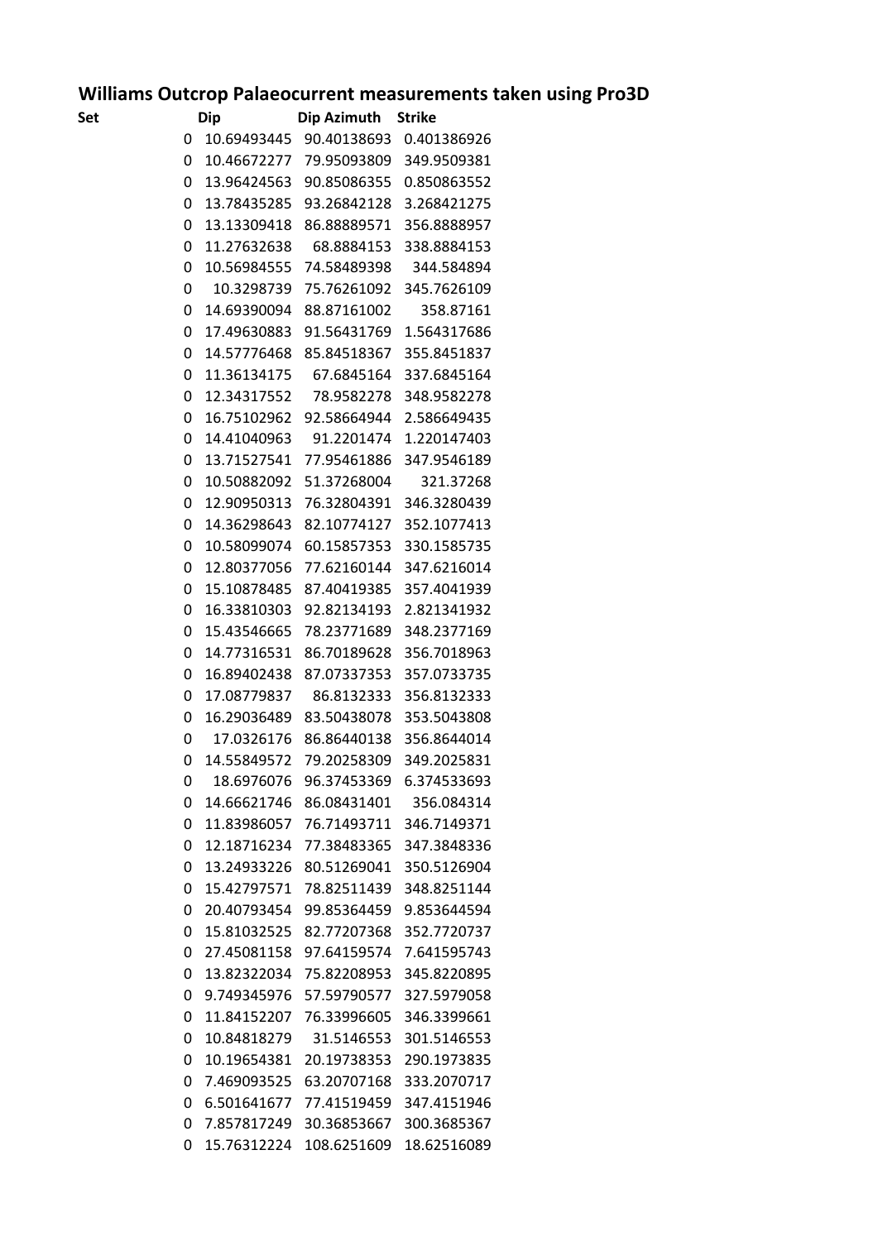## **Williams Outcrop Palaeocurrent measurements taken using Pro3D**<br>Set Dip Dip Azimuth Strike

| Set | Dip         | <b>Dip Azimuth</b> | <b>Strike</b> |
|-----|-------------|--------------------|---------------|
| 0   | 10.69493445 | 90.40138693        | 0.401386926   |
| 0   | 10.46672277 | 79.95093809        | 349.9509381   |
| 0   | 13.96424563 | 90.85086355        | 0.850863552   |
| 0   | 13.78435285 | 93.26842128        | 3.268421275   |
| 0   | 13.13309418 | 86.88889571        | 356.8888957   |
| 0   | 11.27632638 | 68.8884153         | 338.8884153   |
| 0   | 10.56984555 | 74.58489398        | 344.584894    |
| 0   | 10.3298739  | 75.76261092        | 345.7626109   |
| 0   | 14.69390094 | 88.87161002        | 358.87161     |
| 0   | 17.49630883 | 91.56431769        | 1.564317686   |
| 0   | 14.57776468 | 85.84518367        | 355.8451837   |
| 0   | 11.36134175 | 67.6845164         | 337.6845164   |
| 0   | 12.34317552 | 78.9582278         | 348.9582278   |
| 0   | 16.75102962 | 92.58664944        | 2.586649435   |
| 0   | 14.41040963 | 91.2201474         | 1.220147403   |
| 0   | 13.71527541 | 77.95461886        | 347.9546189   |
| 0   | 10.50882092 | 51.37268004        | 321.37268     |
| 0   | 12.90950313 | 76.32804391        | 346.3280439   |
| 0   | 14.36298643 | 82.10774127        | 352.1077413   |
| 0   | 10.58099074 | 60.15857353        | 330.1585735   |
| 0   | 12.80377056 | 77.62160144        | 347.6216014   |
| 0   | 15.10878485 | 87.40419385        | 357.4041939   |
| 0   | 16.33810303 | 92.82134193        | 2.821341932   |
| 0   | 15.43546665 | 78.23771689        | 348.2377169   |
| 0   | 14.77316531 | 86.70189628        | 356.7018963   |
| 0   | 16.89402438 | 87.07337353        | 357.0733735   |
| 0   | 17.08779837 | 86.8132333         | 356.8132333   |
| 0   | 16.29036489 | 83.50438078        | 353.5043808   |
| 0   | 17.0326176  | 86.86440138        | 356.8644014   |
| 0   | 14.55849572 | 79.20258309        | 349.2025831   |
| 0   | 18.6976076  | 96.37453369        | 6.374533693   |
| 0   | 14.66621746 | 86.08431401        | 356.084314    |
| 0   | 11.83986057 | 76.71493711        | 346.7149371   |
| 0   | 12.18716234 | 77.38483365        | 347.3848336   |
| 0   | 13.24933226 | 80.51269041        | 350.5126904   |
| 0   | 15.42797571 | 78.82511439        | 348.8251144   |
| 0   | 20.40793454 | 99.85364459        | 9.853644594   |
| 0   | 15.81032525 | 82.77207368        | 352.7720737   |
| 0   | 27.45081158 | 97.64159574        | 7.641595743   |
| 0   | 13.82322034 | 75.82208953        | 345.8220895   |
| 0   | 9.749345976 | 57.59790577        | 327.5979058   |
| 0   | 11.84152207 | 76.33996605        | 346.3399661   |
| 0   | 10.84818279 | 31.5146553         | 301.5146553   |
| 0   | 10.19654381 | 20.19738353        | 290.1973835   |
| 0   | 7.469093525 | 63.20707168        | 333.2070717   |
| 0   | 6.501641677 | 77.41519459        | 347.4151946   |
| 0   | 7.857817249 | 30.36853667        | 300.3685367   |
| 0   | 15.76312224 | 108.6251609        | 18.62516089   |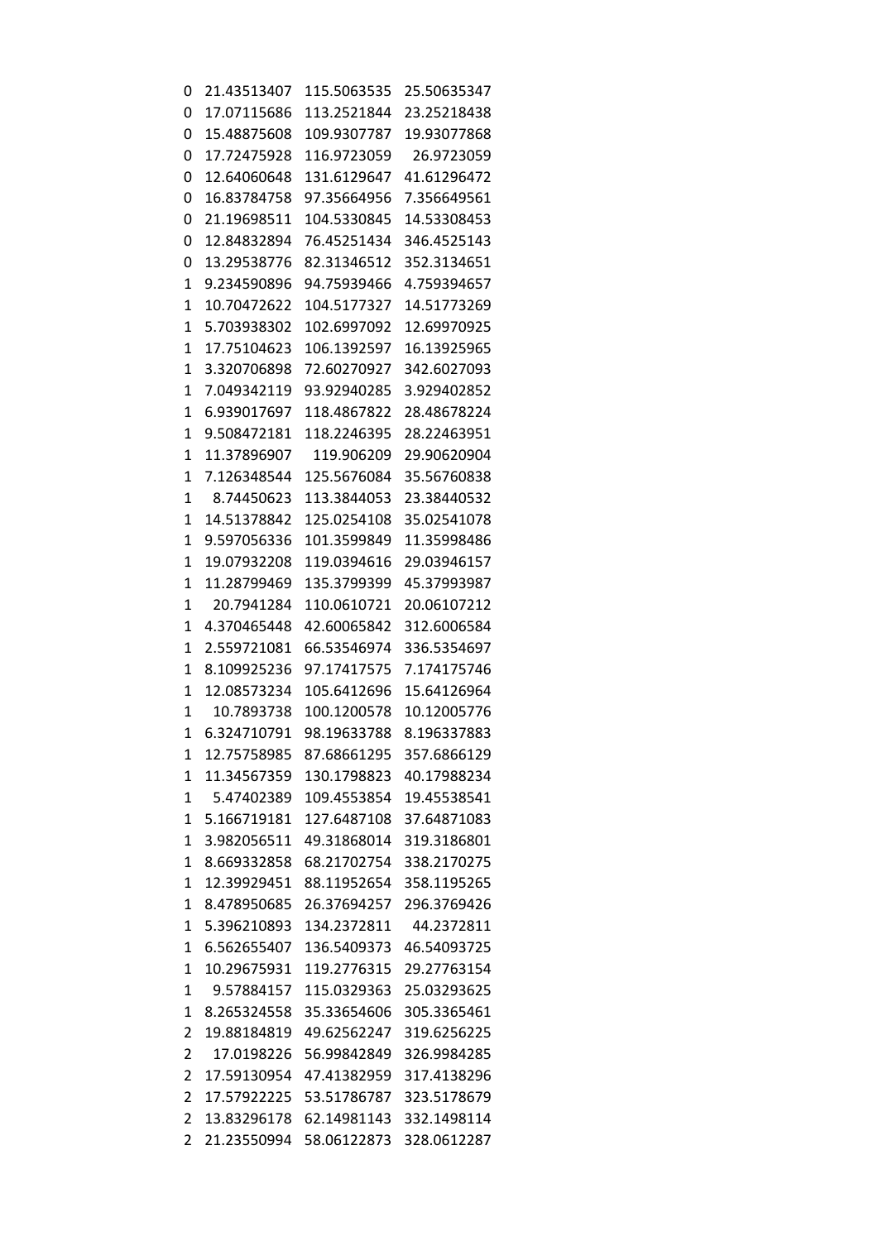| 0              | 21.43513407 | 115.5063535 | 25.50635347 |
|----------------|-------------|-------------|-------------|
| 0              | 17.07115686 | 113.2521844 | 23.25218438 |
| 0              | 15.48875608 | 109.9307787 | 19.93077868 |
| 0              | 17.72475928 | 116.9723059 | 26.9723059  |
| 0              | 12.64060648 | 131.6129647 | 41.61296472 |
| 0              | 16.83784758 | 97.35664956 | 7.356649561 |
| 0              | 21.19698511 | 104.5330845 | 14.53308453 |
| 0              | 12.84832894 | 76.45251434 | 346.4525143 |
| 0              | 13.29538776 | 82.31346512 | 352.3134651 |
| 1              | 9.234590896 | 94.75939466 | 4.759394657 |
| 1              | 10.70472622 | 104.5177327 | 14.51773269 |
| 1              | 5.703938302 | 102.6997092 | 12.69970925 |
| 1              | 17.75104623 | 106.1392597 | 16.13925965 |
| 1              | 3.320706898 | 72.60270927 | 342.6027093 |
| 1              | 7.049342119 | 93.92940285 | 3.929402852 |
| 1              | 6.939017697 | 118.4867822 | 28.48678224 |
| 1              | 9.508472181 | 118.2246395 | 28.22463951 |
| 1              | 11.37896907 | 119.906209  | 29.90620904 |
| 1              | 7.126348544 | 125.5676084 | 35.56760838 |
| 1              | 8.74450623  | 113.3844053 | 23.38440532 |
| 1              | 14.51378842 | 125.0254108 | 35.02541078 |
| 1              | 9.597056336 | 101.3599849 | 11.35998486 |
| 1              | 19.07932208 | 119.0394616 | 29.03946157 |
| 1              | 11.28799469 | 135.3799399 | 45.37993987 |
| 1              | 20.7941284  | 110.0610721 | 20.06107212 |
| 1              | 4.370465448 | 42.60065842 | 312.6006584 |
| 1              | 2.559721081 | 66.53546974 | 336.5354697 |
| 1              | 8.109925236 | 97.17417575 | 7.174175746 |
| 1              | 12.08573234 | 105.6412696 | 15.64126964 |
| 1              | 10.7893738  | 100.1200578 | 10.12005776 |
| 1              | 6.324710791 | 98.19633788 | 8.196337883 |
| 1              | 12.75758985 | 87.68661295 | 357.6866129 |
| 1              | 11.34567359 | 130.1798823 | 40.17988234 |
| $\mathbf{1}$   | 5.47402389  | 109.4553854 | 19.45538541 |
| $\mathbf{1}$   | 5.166719181 | 127.6487108 | 37.64871083 |
| 1              | 3.982056511 | 49.31868014 | 319.3186801 |
| 1              | 8.669332858 | 68.21702754 | 338.2170275 |
| 1              | 12.39929451 | 88.11952654 | 358.1195265 |
| $\mathbf{1}$   | 8.478950685 | 26.37694257 | 296.3769426 |
| 1              | 5.396210893 | 134.2372811 | 44.2372811  |
| $\mathbf{1}$   | 6.562655407 | 136.5409373 | 46.54093725 |
| $\mathbf{1}$   | 10.29675931 | 119.2776315 | 29.27763154 |
| 1              | 9.57884157  | 115.0329363 | 25.03293625 |
| $\mathbf{1}$   | 8.265324558 | 35.33654606 | 305.3365461 |
| 2              | 19.88184819 | 49.62562247 | 319.6256225 |
| 2              | 17.0198226  | 56.99842849 | 326.9984285 |
| 2              | 17.59130954 | 47.41382959 | 317.4138296 |
| 2              | 17.57922225 | 53.51786787 | 323.5178679 |
| $\overline{2}$ | 13.83296178 | 62.14981143 | 332.1498114 |
| 2              | 21.23550994 | 58.06122873 | 328.0612287 |
|                |             |             |             |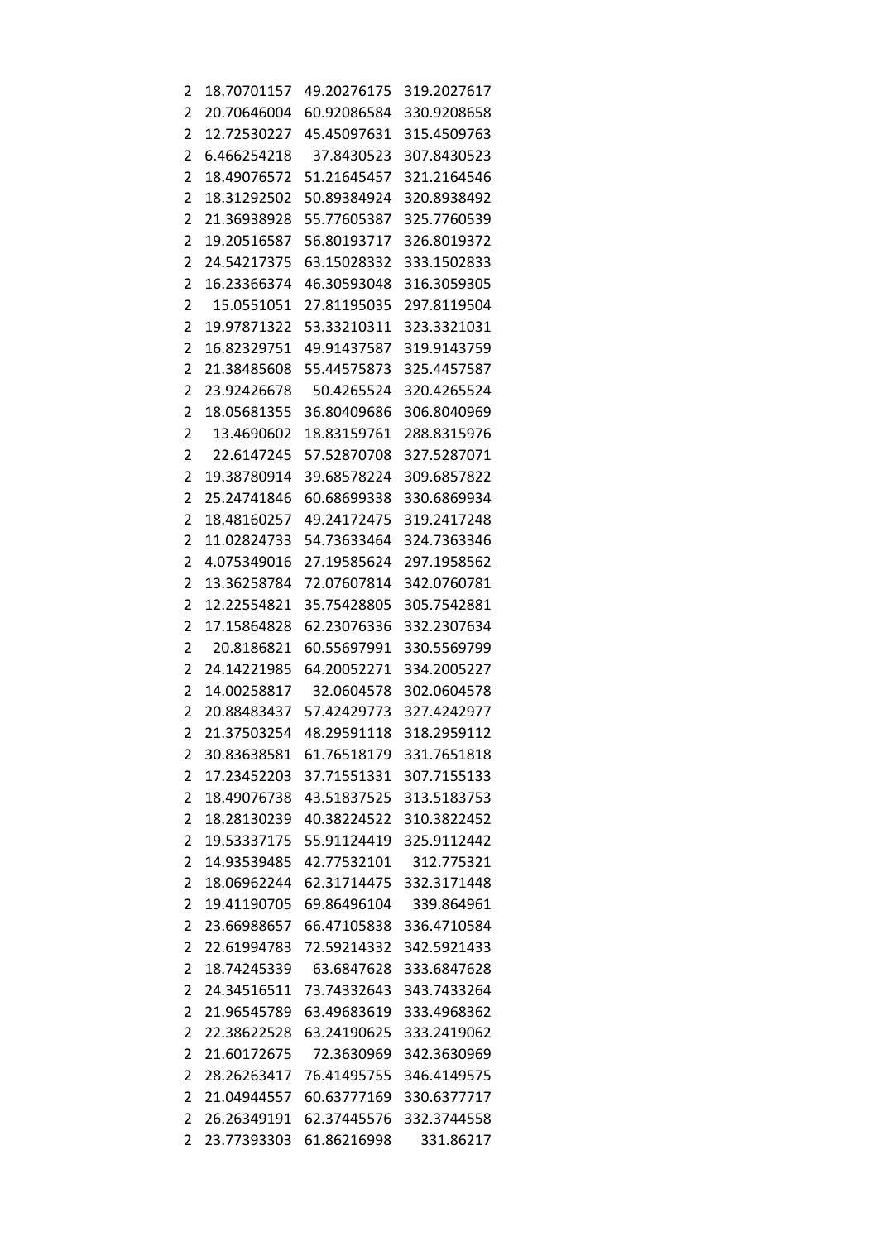| 2              | 18.70701157 | 49.20276175 | 319.2027617 |
|----------------|-------------|-------------|-------------|
| 2              | 20.70646004 | 60.92086584 | 330.9208658 |
| 2              | 12.72530227 | 45.45097631 | 315.4509763 |
| 2              | 6.466254218 | 37.8430523  | 307.8430523 |
| $\overline{2}$ | 18.49076572 | 51.21645457 | 321.2164546 |
| $\overline{2}$ | 18.31292502 | 50.89384924 | 320.8938492 |
| 2              | 21.36938928 | 55.77605387 | 325.7760539 |
| 2              | 19.20516587 | 56.80193717 | 326.8019372 |
| 2              | 24.54217375 | 63.15028332 | 333.1502833 |
| $\overline{2}$ | 16.23366374 | 46.30593048 | 316.3059305 |
|                | 15.0551051  | 27.81195035 | 297.8119504 |
| 2              | 19.97871322 |             |             |
| 2              |             | 53.33210311 | 323.3321031 |
| 2              | 16.82329751 | 49.91437587 | 319.9143759 |
| 2              | 21.38485608 | 55.44575873 | 325.4457587 |
| $\overline{2}$ | 23.92426678 | 50.4265524  | 320.4265524 |
| 2              | 18.05681355 | 36.80409686 | 306.8040969 |
| 2              | 13.4690602  | 18.83159761 | 288.8315976 |
| 2              | 22.6147245  | 57.52870708 | 327.5287071 |
| 2              | 19.38780914 | 39.68578224 | 309.6857822 |
| $\overline{2}$ | 25.24741846 | 60.68699338 | 330.6869934 |
| 2              | 18.48160257 | 49.24172475 | 319.2417248 |
| 2              | 11.02824733 | 54.73633464 | 324.7363346 |
| 2              | 4.075349016 | 27.19585624 | 297.1958562 |
| 2              | 13.36258784 | 72.07607814 | 342.0760781 |
| $\overline{2}$ | 12.22554821 | 35.75428805 | 305.7542881 |
| 2              | 17.15864828 | 62.23076336 | 332.2307634 |
| $\overline{2}$ | 20.8186821  | 60.55697991 | 330.5569799 |
| 2              | 24.14221985 | 64.20052271 | 334.2005227 |
| 2              | 14.00258817 | 32.0604578  | 302.0604578 |
| 2              | 20.88483437 | 57.42429773 | 327.4242977 |
| 2              | 21.37503254 | 48.29591118 | 318.2959112 |
| 2              | 30.83638581 | 61.76518179 | 331.7651818 |
| 2              | 17.23452203 | 37.71551331 | 307.7155133 |
| 2              | 18.49076738 | 43.51837525 | 313.5183753 |
| 2              | 18.28130239 | 40.38224522 | 310.3822452 |
| $\overline{2}$ | 19.53337175 | 55.91124419 | 325.9112442 |
| 2              | 14.93539485 | 42.77532101 | 312.775321  |
| 2              | 18.06962244 | 62.31714475 | 332.3171448 |
| 2              | 19.41190705 | 69.86496104 | 339.864961  |
|                |             |             |             |
| 2              | 23.66988657 | 66.47105838 | 336.4710584 |
| 2              | 22.61994783 | 72.59214332 | 342.5921433 |
| 2              | 18.74245339 | 63.6847628  | 333.6847628 |
| 2              | 24.34516511 | 73.74332643 | 343.7433264 |
| 2              | 21.96545789 | 63.49683619 | 333.4968362 |
| 2              | 22.38622528 | 63.24190625 | 333.2419062 |
| 2              | 21.60172675 | 72.3630969  | 342.3630969 |
| 2              | 28.26263417 | 76.41495755 | 346.4149575 |
| 2              | 21.04944557 | 60.63777169 | 330.6377717 |
| 2              | 26.26349191 | 62.37445576 | 332.3744558 |
| 2              | 23.77393303 | 61.86216998 | 331.86217   |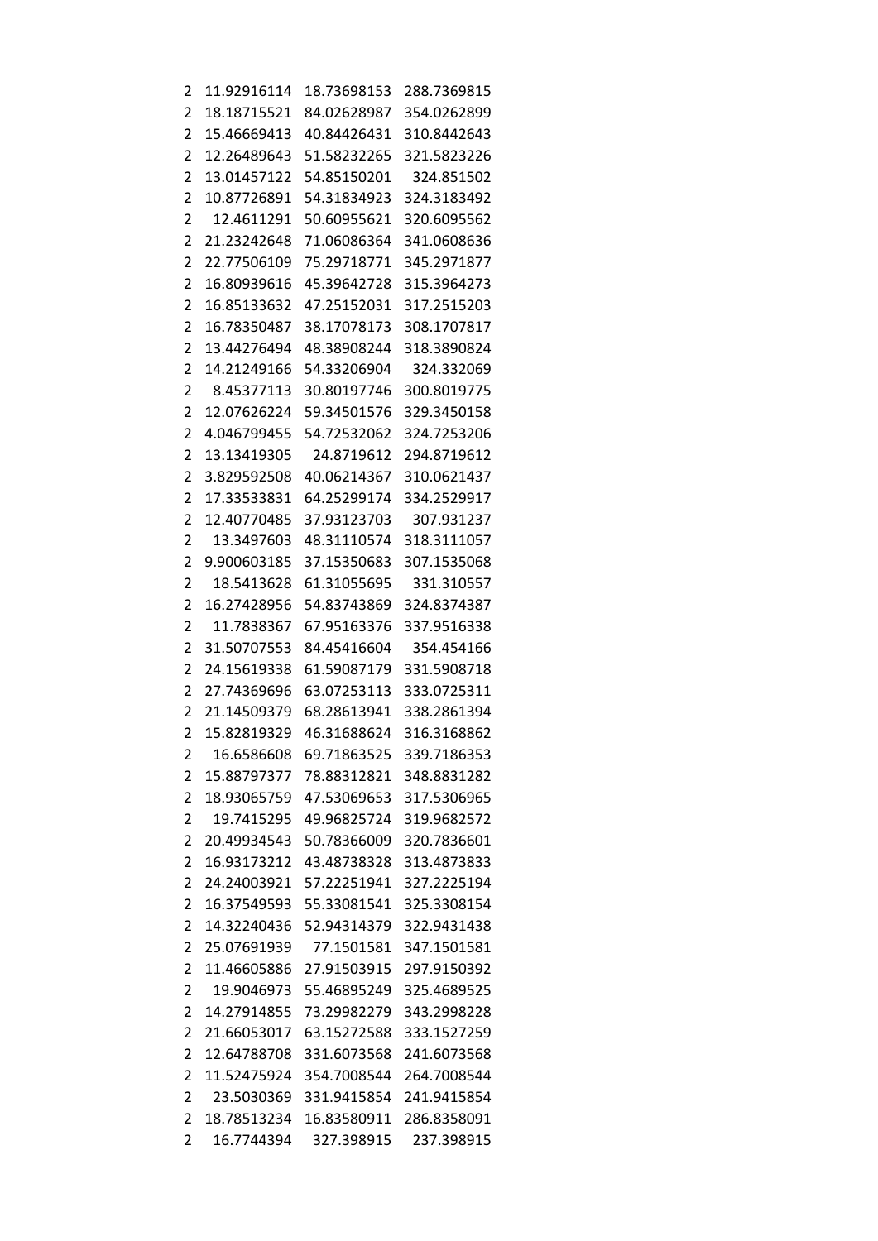| $\overline{c}$ | 11.92916114 | 18.73698153 | 288.7369815 |
|----------------|-------------|-------------|-------------|
| 2              | 18.18715521 | 84.02628987 | 354.0262899 |
| 2              | 15.46669413 | 40.84426431 | 310.8442643 |
| 2              | 12.26489643 | 51.58232265 | 321.5823226 |
| $\overline{2}$ | 13.01457122 | 54.85150201 | 324.851502  |
| $\overline{2}$ | 10.87726891 | 54.31834923 | 324.3183492 |
| 2              | 12.4611291  | 50.60955621 | 320.6095562 |
| 2              | 21.23242648 | 71.06086364 | 341.0608636 |
| 2              | 22.77506109 | 75.29718771 | 345.2971877 |
| 2              | 16.80939616 | 45.39642728 | 315.3964273 |
| $\overline{2}$ | 16.85133632 | 47.25152031 | 317.2515203 |
| 2              | 16.78350487 | 38.17078173 | 308.1707817 |
| 2              | 13.44276494 | 48.38908244 | 318.3890824 |
| 2              | 14.21249166 | 54.33206904 | 324.332069  |
| $\overline{2}$ | 8.45377113  | 30.80197746 | 300.8019775 |
| 2              | 12.07626224 | 59.34501576 | 329.3450158 |
| 2              | 4.046799455 | 54.72532062 | 324.7253206 |
| 2              | 13.13419305 | 24.8719612  | 294.8719612 |
| 2              | 3.829592508 | 40.06214367 | 310.0621437 |
| $\overline{2}$ | 17.33533831 | 64.25299174 | 334.2529917 |
| 2              | 12.40770485 | 37.93123703 | 307.931237  |
| 2              | 13.3497603  | 48.31110574 | 318.3111057 |
| $\overline{2}$ | 9.900603185 | 37.15350683 | 307.1535068 |
| 2              | 18.5413628  | 61.31055695 | 331.310557  |
| $\overline{2}$ | 16.27428956 | 54.83743869 | 324.8374387 |
| 2              | 11.7838367  | 67.95163376 | 337.9516338 |
| 2              | 31.50707553 | 84.45416604 | 354.454166  |
| 2              | 24.15619338 | 61.59087179 | 331.5908718 |
| 2              | 27.74369696 | 63.07253113 | 333.0725311 |
| $\overline{2}$ | 21.14509379 | 68.28613941 | 338.2861394 |
| 2              | 15.82819329 | 46.31688624 | 316.3168862 |
| 2              | 16.6586608  | 69.71863525 | 339.7186353 |
| 2              | 15.88797377 | 78.88312821 | 348.8831282 |
| 2              | 18.93065759 | 47.53069653 | 317.5306965 |
| 2              | 19.7415295  | 49.96825724 | 319.9682572 |
| 2              | 20.49934543 | 50.78366009 | 320.7836601 |
| 2              | 16.93173212 | 43.48738328 | 313.4873833 |
| 2              | 24.24003921 | 57.22251941 | 327.2225194 |
| $\overline{c}$ | 16.37549593 | 55.33081541 | 325.3308154 |
| $\overline{2}$ | 14.32240436 | 52.94314379 | 322.9431438 |
| 2              | 25.07691939 | 77.1501581  | 347.1501581 |
| $\overline{c}$ | 11.46605886 | 27.91503915 | 297.9150392 |
| $\overline{2}$ | 19.9046973  | 55.46895249 | 325.4689525 |
| 2              | 14.27914855 | 73.29982279 | 343.2998228 |
| $\overline{c}$ | 21.66053017 | 63.15272588 | 333.1527259 |
| $\overline{2}$ | 12.64788708 | 331.6073568 | 241.6073568 |
| 2              | 11.52475924 | 354.7008544 | 264.7008544 |
| 2              | 23.5030369  | 331.9415854 | 241.9415854 |
| $\overline{2}$ | 18.78513234 | 16.83580911 | 286.8358091 |
| $\overline{2}$ | 16.7744394  | 327.398915  | 237.398915  |
|                |             |             |             |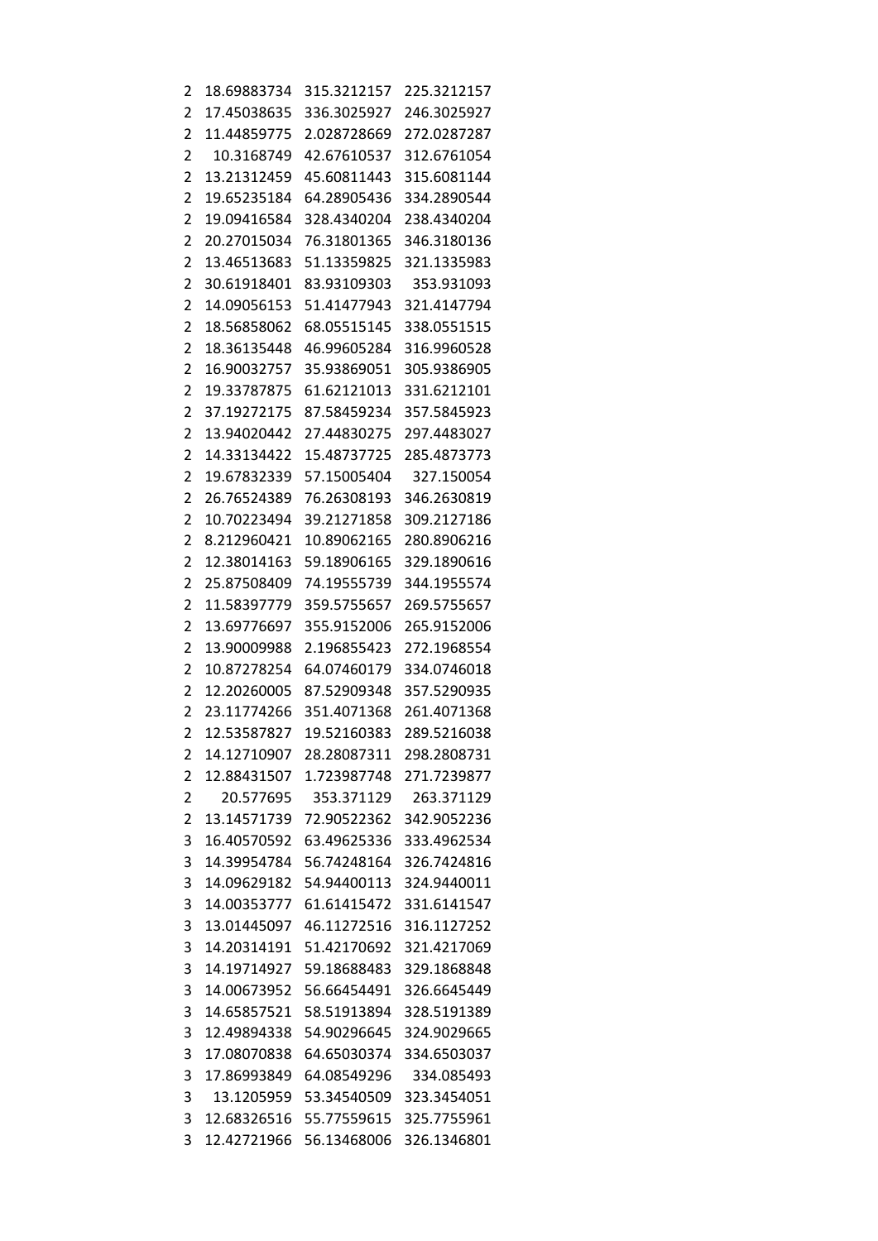| 2                   | 18.69883734                | 315.3212157 | 225.3212157 |
|---------------------|----------------------------|-------------|-------------|
| 2                   | 17.45038635                | 336.3025927 | 246.3025927 |
| 2                   | 11.44859775                | 2.028728669 | 272.0287287 |
| 2                   | 10.3168749                 | 42.67610537 | 312.6761054 |
| 2                   | 13.21312459                | 45.60811443 | 315.6081144 |
| 2                   | 19.65235184                | 64.28905436 | 334.2890544 |
| 2                   | 19.09416584                | 328.4340204 | 238.4340204 |
| 2                   | 20.27015034                | 76.31801365 | 346.3180136 |
| 2                   | 13.46513683                | 51.13359825 | 321.1335983 |
| 2                   | 30.61918401                | 83.93109303 | 353.931093  |
| 2                   | 14.09056153                | 51.41477943 | 321.4147794 |
| 2                   | 18.56858062                | 68.05515145 | 338.0551515 |
| 2                   | 18.36135448                | 46.99605284 | 316.9960528 |
| 2                   | 16.90032757                | 35.93869051 | 305.9386905 |
| $\overline{2}$      | 19.33787875                | 61.62121013 | 331.6212101 |
| 2                   | 37.19272175                | 87.58459234 | 357.5845923 |
| 2                   | 13.94020442                | 27.44830275 | 297.4483027 |
| 2                   | 14.33134422                | 15.48737725 | 285.4873773 |
| 2                   | 19.67832339                | 57.15005404 | 327.150054  |
| 2                   | 26.76524389                | 76.26308193 | 346.2630819 |
| 2                   | 10.70223494                | 39.21271858 | 309.2127186 |
| 2                   | 8.212960421                | 10.89062165 | 280.8906216 |
| 2                   | 12.38014163                | 59.18906165 | 329.1890616 |
| 2                   | 25.87508409                | 74.19555739 | 344.1955574 |
| 2                   | 11.58397779                | 359.5755657 | 269.5755657 |
| 2                   | 13.69776697                | 355.9152006 | 265.9152006 |
| 2                   | 13.90009988                | 2.196855423 | 272.1968554 |
| 2                   | 10.87278254                | 64.07460179 | 334.0746018 |
| 2                   | 12.20260005                | 87.52909348 | 357.5290935 |
| 2                   | 23.11774266                | 351.4071368 | 261.4071368 |
| 2                   | 12.53587827                | 19.52160383 | 289.5216038 |
| 2                   | 14.12710907                | 28.28087311 | 298.2808731 |
|                     | 12.88431507                | 1.723987748 | 271.7239877 |
| 2<br>$\overline{2}$ | 20.577695                  | 353.371129  | 263.371129  |
|                     | 13.14571739                |             |             |
| 2                   |                            | 72.90522362 | 342.9052236 |
| 3                   | 16.40570592<br>14.39954784 | 63.49625336 | 333.4962534 |
| 3                   |                            | 56.74248164 | 326.7424816 |
| 3                   | 14.09629182                | 54.94400113 | 324.9440011 |
| 3                   | 14.00353777                | 61.61415472 | 331.6141547 |
| 3                   | 13.01445097                | 46.11272516 | 316.1127252 |
| 3                   | 14.20314191                | 51.42170692 | 321.4217069 |
| 3                   | 14.19714927                | 59.18688483 | 329.1868848 |
| 3                   | 14.00673952                | 56.66454491 | 326.6645449 |
| 3                   | 14.65857521                | 58.51913894 | 328.5191389 |
| 3                   | 12.49894338                | 54.90296645 | 324.9029665 |
| 3                   | 17.08070838                | 64.65030374 | 334.6503037 |
| 3                   | 17.86993849                | 64.08549296 | 334.085493  |
| 3                   | 13.1205959                 | 53.34540509 | 323.3454051 |
| 3                   | 12.68326516                | 55.77559615 | 325.7755961 |
| 3                   | 12.42721966                | 56.13468006 | 326.1346801 |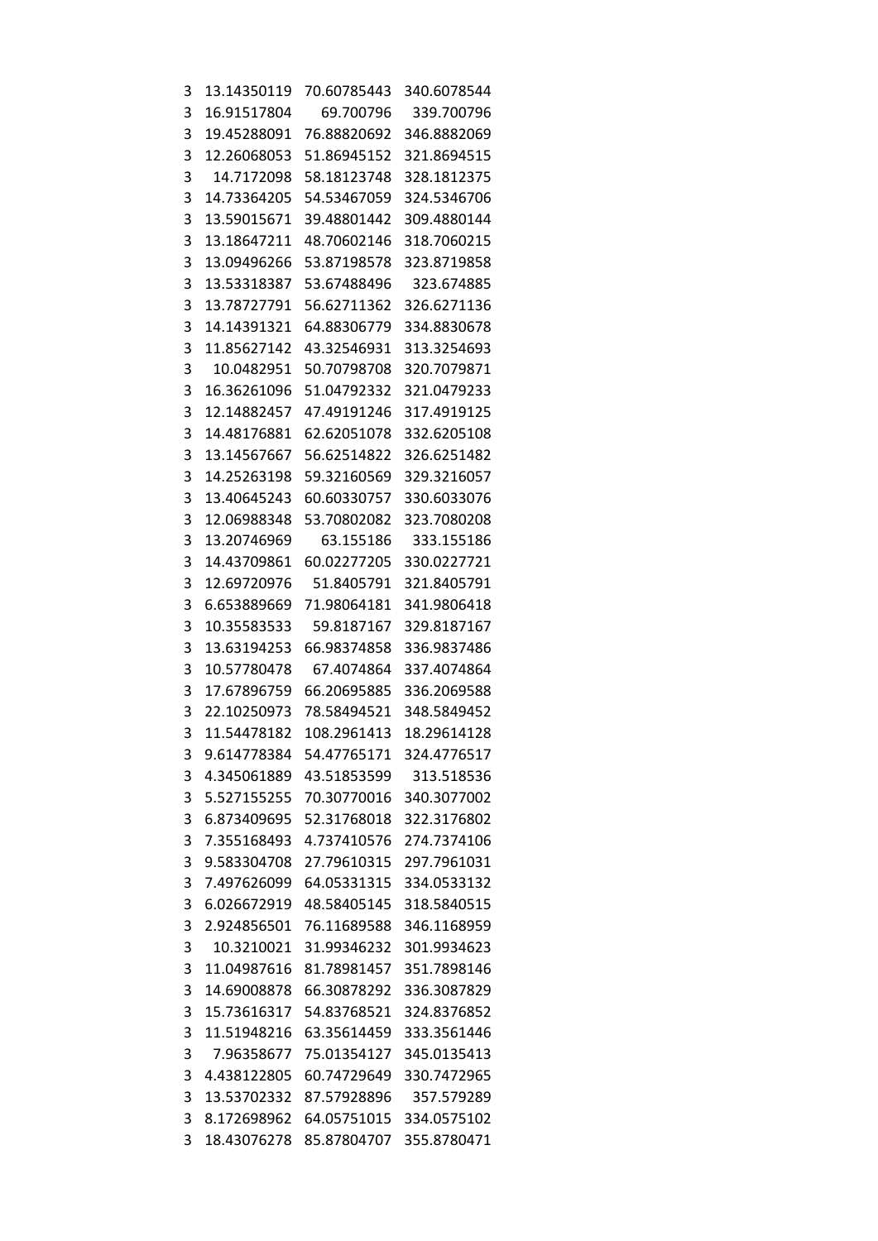| 3 | 13.14350119 | 70.60785443                | 340.6078544 |
|---|-------------|----------------------------|-------------|
| 3 | 16.91517804 | 69.700796                  | 339.700796  |
| 3 | 19.45288091 | 76.88820692                | 346.8882069 |
| 3 | 12.26068053 | 51.86945152                | 321.8694515 |
| 3 | 14.7172098  | 58.18123748                | 328.1812375 |
| 3 | 14.73364205 | 54.53467059                | 324.5346706 |
| 3 | 13.59015671 | 39.48801442                | 309.4880144 |
| 3 | 13.18647211 | 48.70602146                | 318.7060215 |
| 3 | 13.09496266 | 53.87198578                | 323.8719858 |
| 3 | 13.53318387 | 53.67488496                | 323.674885  |
| 3 | 13.78727791 | 56.62711362                | 326.6271136 |
| 3 | 14.14391321 | 64.88306779                | 334.8830678 |
| 3 | 11.85627142 | 43.32546931                | 313.3254693 |
| 3 | 10.0482951  | 50.70798708                | 320.7079871 |
|   |             |                            | 321.0479233 |
| 3 | 16.36261096 | 51.04792332<br>47.49191246 |             |
| 3 | 12.14882457 |                            | 317.4919125 |
| 3 | 14.48176881 | 62.62051078                | 332.6205108 |
| 3 | 13.14567667 | 56.62514822                | 326.6251482 |
| 3 | 14.25263198 | 59.32160569                | 329.3216057 |
| 3 | 13.40645243 | 60.60330757                | 330.6033076 |
| 3 | 12.06988348 | 53.70802082                | 323.7080208 |
| 3 | 13.20746969 | 63.155186                  | 333.155186  |
| 3 | 14.43709861 | 60.02277205                | 330.0227721 |
| 3 | 12.69720976 | 51.8405791                 | 321.8405791 |
| 3 | 6.653889669 | 71.98064181                | 341.9806418 |
| 3 | 10.35583533 | 59.8187167                 | 329.8187167 |
| 3 | 13.63194253 | 66.98374858                | 336.9837486 |
| 3 | 10.57780478 | 67.4074864                 | 337.4074864 |
| 3 | 17.67896759 | 66.20695885                | 336.2069588 |
| 3 | 22.10250973 | 78.58494521                | 348.5849452 |
| 3 | 11.54478182 | 108.2961413                | 18.29614128 |
| 3 | 9.614778384 | 54.47765171                | 324.4776517 |
| 3 | 4.345061889 | 43.51853599                | 313.518536  |
| 3 | 5.527155255 | 70.30770016                | 340.3077002 |
| 3 | 6.873409695 | 52.31768018                | 322.3176802 |
| 3 | 7.355168493 | 4.737410576                | 274.7374106 |
| 3 | 9.583304708 | 27.79610315                | 297.7961031 |
| 3 | 7.497626099 | 64.05331315                | 334.0533132 |
| 3 | 6.026672919 | 48.58405145                | 318.5840515 |
| 3 | 2.924856501 | 76.11689588                | 346.1168959 |
| 3 | 10.3210021  | 31.99346232                | 301.9934623 |
| 3 | 11.04987616 | 81.78981457                | 351.7898146 |
| 3 | 14.69008878 | 66.30878292                | 336.3087829 |
| 3 | 15.73616317 | 54.83768521                | 324.8376852 |
| 3 | 11.51948216 | 63.35614459                | 333.3561446 |
| 3 | 7.96358677  | 75.01354127                | 345.0135413 |
| 3 | 4.438122805 | 60.74729649                | 330.7472965 |
| 3 | 13.53702332 | 87.57928896                | 357.579289  |
| 3 | 8.172698962 | 64.05751015                | 334.0575102 |
| 3 | 18.43076278 | 85.87804707                | 355.8780471 |
|   |             |                            |             |